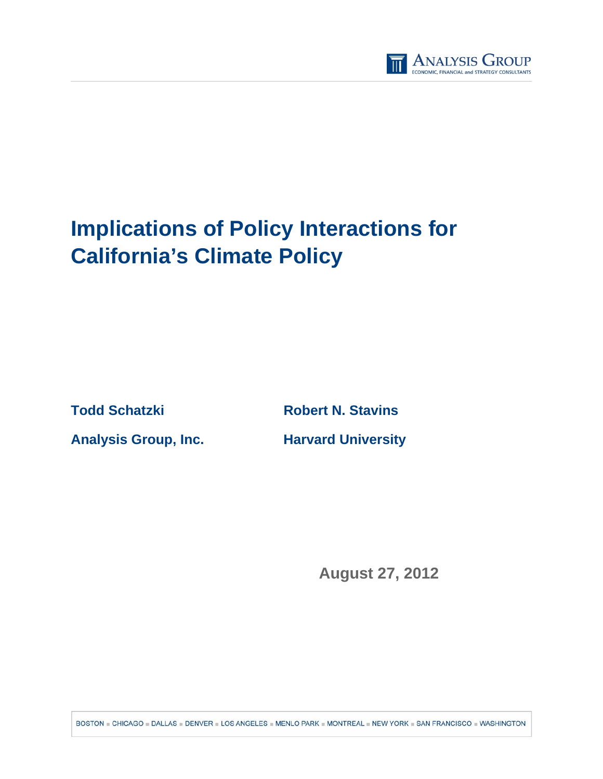

# **Implications of Policy Interactions for California's Climate Policy**

**Todd Schatzki Robert N. Stavins Analysis Group, Inc. Harvard University** 

**August 27, 2012** 

BOSTON = CHICAGO = DALLAS = DENVER = LOS ANGELES = MENLO PARK = MONTREAL = NEW YORK = SAN FRANCISCO = WASHINGTON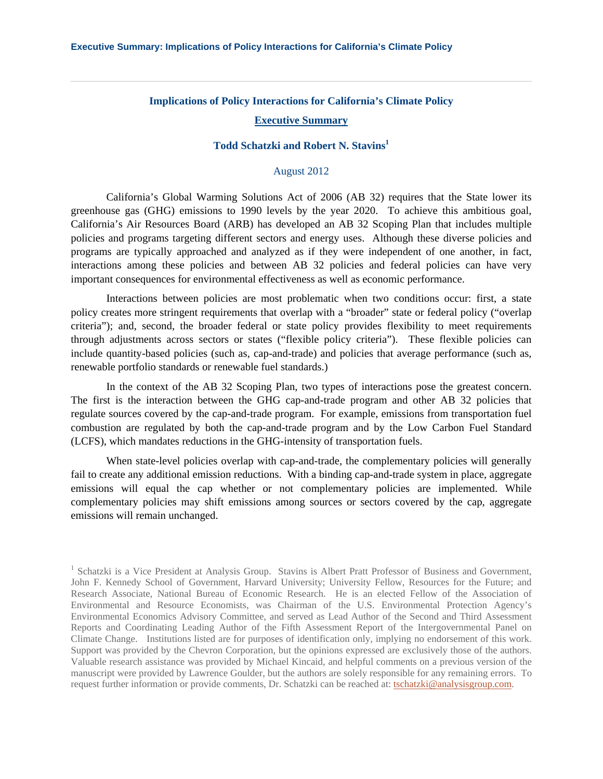# **Implications of Policy Interactions for California's Climate Policy**

## **Executive Summary**

# **Todd Schatzki and Robert N. Stavins1**

## August 2012

California's Global Warming Solutions Act of 2006 (AB 32) requires that the State lower its greenhouse gas (GHG) emissions to 1990 levels by the year 2020. To achieve this ambitious goal, California's Air Resources Board (ARB) has developed an AB 32 Scoping Plan that includes multiple policies and programs targeting different sectors and energy uses. Although these diverse policies and programs are typically approached and analyzed as if they were independent of one another, in fact, interactions among these policies and between AB 32 policies and federal policies can have very important consequences for environmental effectiveness as well as economic performance.

Interactions between policies are most problematic when two conditions occur: first, a state policy creates more stringent requirements that overlap with a "broader" state or federal policy ("overlap criteria"); and, second, the broader federal or state policy provides flexibility to meet requirements through adjustments across sectors or states ("flexible policy criteria"). These flexible policies can include quantity-based policies (such as, cap-and-trade) and policies that average performance (such as, renewable portfolio standards or renewable fuel standards.)

In the context of the AB 32 Scoping Plan, two types of interactions pose the greatest concern. The first is the interaction between the GHG cap-and-trade program and other AB 32 policies that regulate sources covered by the cap-and-trade program. For example, emissions from transportation fuel combustion are regulated by both the cap-and-trade program and by the Low Carbon Fuel Standard (LCFS), which mandates reductions in the GHG-intensity of transportation fuels.

When state-level policies overlap with cap-and-trade, the complementary policies will generally fail to create any additional emission reductions. With a binding cap-and-trade system in place, aggregate emissions will equal the cap whether or not complementary policies are implemented. While complementary policies may shift emissions among sources or sectors covered by the cap, aggregate emissions will remain unchanged.

<sup>&</sup>lt;sup>1</sup> Schatzki is a Vice President at Analysis Group. Stavins is Albert Pratt Professor of Business and Government, John F. Kennedy School of Government, Harvard University; University Fellow, Resources for the Future; and Research Associate, National Bureau of Economic Research. He is an elected Fellow of the Association of Environmental and Resource Economists, was Chairman of the U.S. Environmental Protection Agency's Environmental Economics Advisory Committee, and served as Lead Author of the Second and Third Assessment Reports and Coordinating Leading Author of the Fifth Assessment Report of the Intergovernmental Panel on Climate Change. Institutions listed are for purposes of identification only, implying no endorsement of this work. Support was provided by the Chevron Corporation, but the opinions expressed are exclusively those of the authors. Valuable research assistance was provided by Michael Kincaid, and helpful comments on a previous version of the manuscript were provided by Lawrence Goulder, but the authors are solely responsible for any remaining errors. To request further information or provide comments, Dr. Schatzki can be reached at: tschatzki@analysisgroup.com.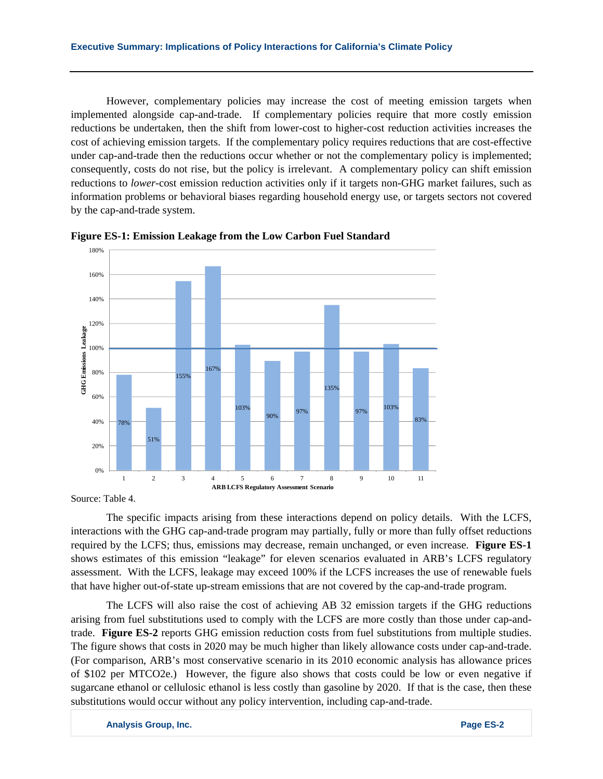However, complementary policies may increase the cost of meeting emission targets when implemented alongside cap-and-trade. If complementary policies require that more costly emission reductions be undertaken, then the shift from lower-cost to higher-cost reduction activities increases the cost of achieving emission targets. If the complementary policy requires reductions that are cost-effective under cap-and-trade then the reductions occur whether or not the complementary policy is implemented; consequently, costs do not rise, but the policy is irrelevant. A complementary policy can shift emission reductions to *lower*-cost emission reduction activities only if it targets non-GHG market failures, such as information problems or behavioral biases regarding household energy use, or targets sectors not covered by the cap-and-trade system.



**Figure ES-1: Emission Leakage from the Low Carbon Fuel Standard** 

Source: Table 4.

The specific impacts arising from these interactions depend on policy details. With the LCFS, interactions with the GHG cap-and-trade program may partially, fully or more than fully offset reductions required by the LCFS; thus, emissions may decrease, remain unchanged, or even increase. **Figure ES-1** shows estimates of this emission "leakage" for eleven scenarios evaluated in ARB's LCFS regulatory assessment. With the LCFS, leakage may exceed 100% if the LCFS increases the use of renewable fuels that have higher out-of-state up-stream emissions that are not covered by the cap-and-trade program.

The LCFS will also raise the cost of achieving AB 32 emission targets if the GHG reductions arising from fuel substitutions used to comply with the LCFS are more costly than those under cap-andtrade. **Figure ES-2** reports GHG emission reduction costs from fuel substitutions from multiple studies. The figure shows that costs in 2020 may be much higher than likely allowance costs under cap-and-trade. (For comparison, ARB's most conservative scenario in its 2010 economic analysis has allowance prices of \$102 per MTCO2e.) However, the figure also shows that costs could be low or even negative if sugarcane ethanol or cellulosic ethanol is less costly than gasoline by 2020. If that is the case, then these substitutions would occur without any policy intervention, including cap-and-trade.

**Analysis Group, Inc. Page ES-2**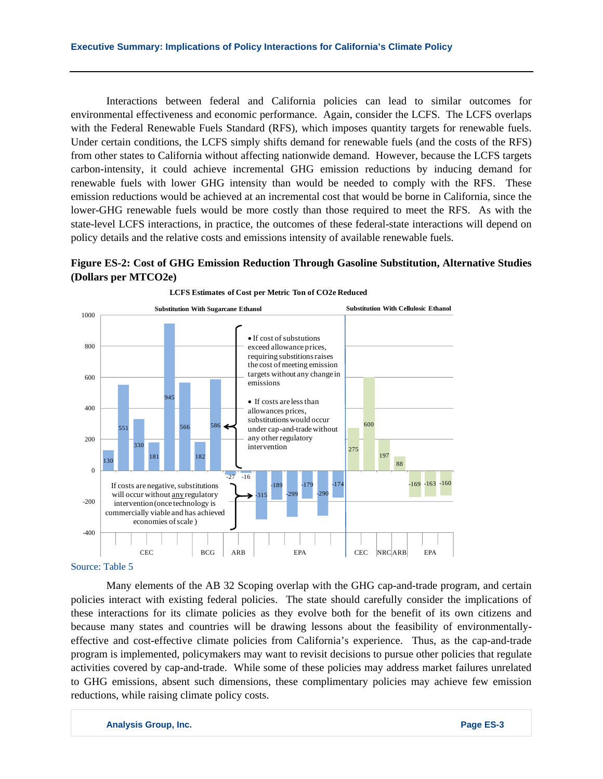Interactions between federal and California policies can lead to similar outcomes for environmental effectiveness and economic performance. Again, consider the LCFS. The LCFS overlaps with the Federal Renewable Fuels Standard (RFS), which imposes quantity targets for renewable fuels. Under certain conditions, the LCFS simply shifts demand for renewable fuels (and the costs of the RFS) from other states to California without affecting nationwide demand. However, because the LCFS targets carbon-intensity, it could achieve incremental GHG emission reductions by inducing demand for renewable fuels with lower GHG intensity than would be needed to comply with the RFS. These emission reductions would be achieved at an incremental cost that would be borne in California, since the lower-GHG renewable fuels would be more costly than those required to meet the RFS. As with the state-level LCFS interactions, in practice, the outcomes of these federal-state interactions will depend on policy details and the relative costs and emissions intensity of available renewable fuels.

# **Figure ES-2: Cost of GHG Emission Reduction Through Gasoline Substitution, Alternative Studies (Dollars per MTCO2e)**



**LCFS Estimates of Cost per Metric Ton of CO2e Reduced**

#### Source: Table 5

Many elements of the AB 32 Scoping overlap with the GHG cap-and-trade program, and certain policies interact with existing federal policies. The state should carefully consider the implications of these interactions for its climate policies as they evolve both for the benefit of its own citizens and because many states and countries will be drawing lessons about the feasibility of environmentallyeffective and cost-effective climate policies from California's experience. Thus, as the cap-and-trade program is implemented, policymakers may want to revisit decisions to pursue other policies that regulate activities covered by cap-and-trade. While some of these policies may address market failures unrelated to GHG emissions, absent such dimensions, these complimentary policies may achieve few emission reductions, while raising climate policy costs.

**Analysis Group, Inc. Page ES-3**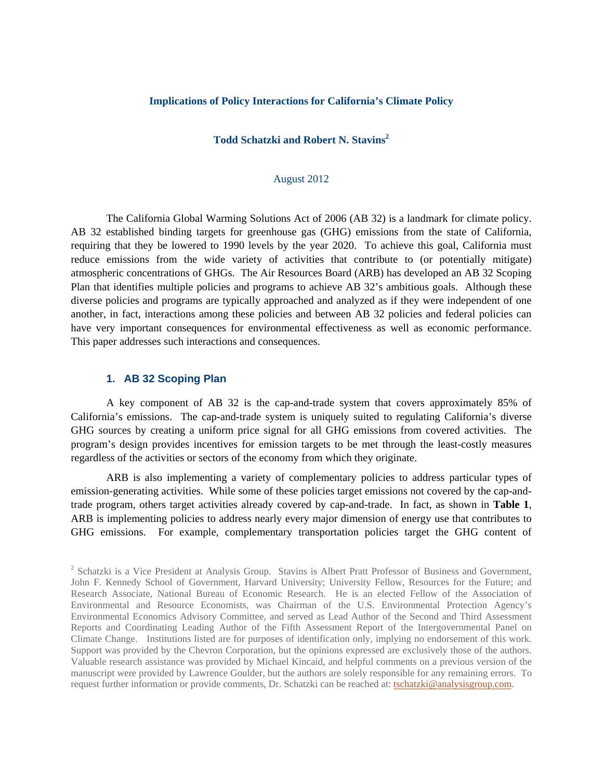#### **Implications of Policy Interactions for California's Climate Policy**

# **Todd Schatzki and Robert N. Stavins<sup>2</sup>**

## August 2012

The California Global Warming Solutions Act of 2006 (AB 32) is a landmark for climate policy. AB 32 established binding targets for greenhouse gas (GHG) emissions from the state of California, requiring that they be lowered to 1990 levels by the year 2020. To achieve this goal, California must reduce emissions from the wide variety of activities that contribute to (or potentially mitigate) atmospheric concentrations of GHGs. The Air Resources Board (ARB) has developed an AB 32 Scoping Plan that identifies multiple policies and programs to achieve AB 32's ambitious goals. Although these diverse policies and programs are typically approached and analyzed as if they were independent of one another, in fact, interactions among these policies and between AB 32 policies and federal policies can have very important consequences for environmental effectiveness as well as economic performance. This paper addresses such interactions and consequences.

## **1. AB 32 Scoping Plan**

A key component of AB 32 is the cap-and-trade system that covers approximately 85% of California's emissions. The cap-and-trade system is uniquely suited to regulating California's diverse GHG sources by creating a uniform price signal for all GHG emissions from covered activities. The program's design provides incentives for emission targets to be met through the least-costly measures regardless of the activities or sectors of the economy from which they originate.

ARB is also implementing a variety of complementary policies to address particular types of emission-generating activities. While some of these policies target emissions not covered by the cap-andtrade program, others target activities already covered by cap-and-trade. In fact, as shown in **Table 1**, ARB is implementing policies to address nearly every major dimension of energy use that contributes to GHG emissions. For example, complementary transportation policies target the GHG content of

<sup>&</sup>lt;sup>2</sup> Schatzki is a Vice President at Analysis Group. Stavins is Albert Pratt Professor of Business and Government, John F. Kennedy School of Government, Harvard University; University Fellow, Resources for the Future; and Research Associate, National Bureau of Economic Research. He is an elected Fellow of the Association of Environmental and Resource Economists, was Chairman of the U.S. Environmental Protection Agency's Environmental Economics Advisory Committee, and served as Lead Author of the Second and Third Assessment Reports and Coordinating Leading Author of the Fifth Assessment Report of the Intergovernmental Panel on Climate Change. Institutions listed are for purposes of identification only, implying no endorsement of this work. Support was provided by the Chevron Corporation, but the opinions expressed are exclusively those of the authors. Valuable research assistance was provided by Michael Kincaid, and helpful comments on a previous version of the manuscript were provided by Lawrence Goulder, but the authors are solely responsible for any remaining errors. To request further information or provide comments, Dr. Schatzki can be reached at: tschatzki@analysisgroup.com.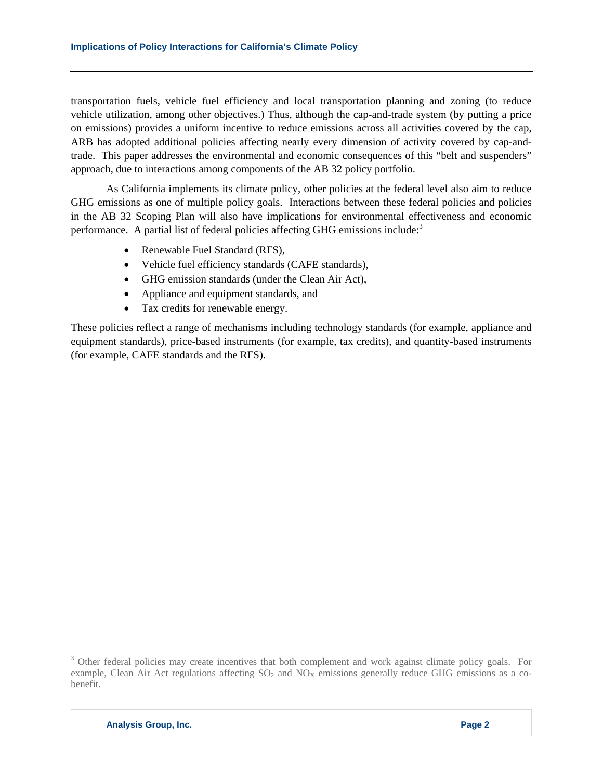transportation fuels, vehicle fuel efficiency and local transportation planning and zoning (to reduce vehicle utilization, among other objectives.) Thus, although the cap-and-trade system (by putting a price on emissions) provides a uniform incentive to reduce emissions across all activities covered by the cap, ARB has adopted additional policies affecting nearly every dimension of activity covered by cap-andtrade. This paper addresses the environmental and economic consequences of this "belt and suspenders" approach, due to interactions among components of the AB 32 policy portfolio.

As California implements its climate policy, other policies at the federal level also aim to reduce GHG emissions as one of multiple policy goals. Interactions between these federal policies and policies in the AB 32 Scoping Plan will also have implications for environmental effectiveness and economic performance. A partial list of federal policies affecting GHG emissions include: $3$ 

- Renewable Fuel Standard (RFS),
- Vehicle fuel efficiency standards (CAFE standards),
- GHG emission standards (under the Clean Air Act),
- Appliance and equipment standards, and
- Tax credits for renewable energy.

These policies reflect a range of mechanisms including technology standards (for example, appliance and equipment standards), price-based instruments (for example, tax credits), and quantity-based instruments (for example, CAFE standards and the RFS).

<sup>&</sup>lt;sup>3</sup> Other federal policies may create incentives that both complement and work against climate policy goals. For example, Clean Air Act regulations affecting  $SO_2$  and  $NO<sub>X</sub>$  emissions generally reduce GHG emissions as a cobenefit.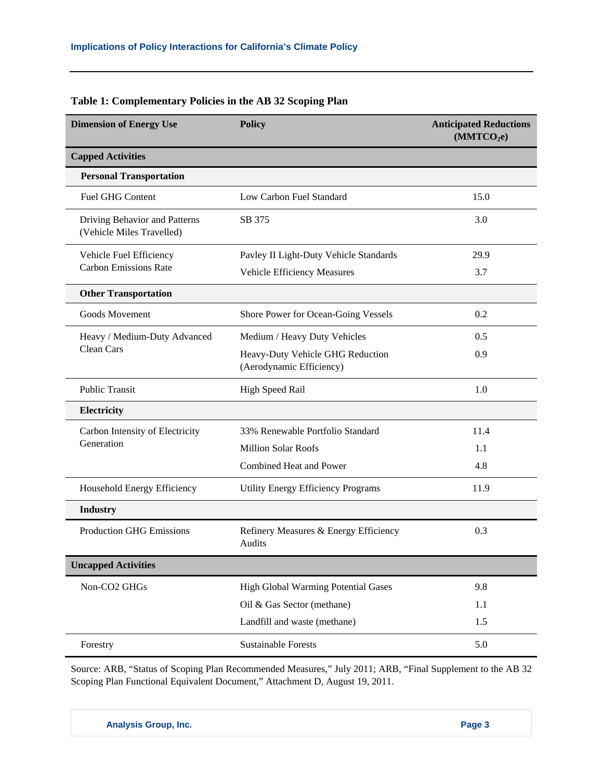| <b>Dimension of Energy Use</b>                             | <b>Policy</b>                                                | <b>Anticipated Reductions</b><br>(MMTCO <sub>2</sub> e) |
|------------------------------------------------------------|--------------------------------------------------------------|---------------------------------------------------------|
| <b>Capped Activities</b>                                   |                                                              |                                                         |
| <b>Personal Transportation</b>                             |                                                              |                                                         |
| <b>Fuel GHG Content</b>                                    | Low Carbon Fuel Standard                                     | 15.0                                                    |
| Driving Behavior and Patterns<br>(Vehicle Miles Travelled) | SB 375                                                       | 3.0                                                     |
| Vehicle Fuel Efficiency                                    | Pavley II Light-Duty Vehicle Standards                       | 29.9                                                    |
| <b>Carbon Emissions Rate</b>                               | Vehicle Efficiency Measures                                  | 3.7                                                     |
| <b>Other Transportation</b>                                |                                                              |                                                         |
| Goods Movement                                             | Shore Power for Ocean-Going Vessels                          | 0.2                                                     |
| Heavy / Medium-Duty Advanced                               | Medium / Heavy Duty Vehicles                                 | 0.5                                                     |
| <b>Clean Cars</b>                                          | Heavy-Duty Vehicle GHG Reduction<br>(Aerodynamic Efficiency) | 0.9                                                     |
| <b>Public Transit</b>                                      | <b>High Speed Rail</b>                                       | 1.0                                                     |
| Electricity                                                |                                                              |                                                         |
| Carbon Intensity of Electricity                            | 33% Renewable Portfolio Standard                             | 11.4                                                    |
| Generation                                                 | <b>Million Solar Roofs</b>                                   | 1.1                                                     |
|                                                            | Combined Heat and Power                                      | 4.8                                                     |
| Household Energy Efficiency                                | Utility Energy Efficiency Programs                           | 11.9                                                    |
| Industry                                                   |                                                              |                                                         |
| <b>Production GHG Emissions</b>                            | Refinery Measures & Energy Efficiency<br>Audits              | 0.3                                                     |
| <b>Uncapped Activities</b>                                 |                                                              |                                                         |
| Non-CO2 GHGs                                               | <b>High Global Warming Potential Gases</b>                   | 9.8                                                     |
|                                                            | Oil & Gas Sector (methane)                                   | 1.1                                                     |
|                                                            | Landfill and waste (methane)                                 | 1.5                                                     |
| Forestry                                                   | <b>Sustainable Forests</b>                                   | 5.0                                                     |

# **Table 1: Complementary Policies in the AB 32 Scoping Plan**

Source: ARB, "Status of Scoping Plan Recommended Measures," July 2011; ARB, "Final Supplement to the AB 32 Scoping Plan Functional Equivalent Document," Attachment D, August 19, 2011.

**Analysis Group, Inc.** Page 3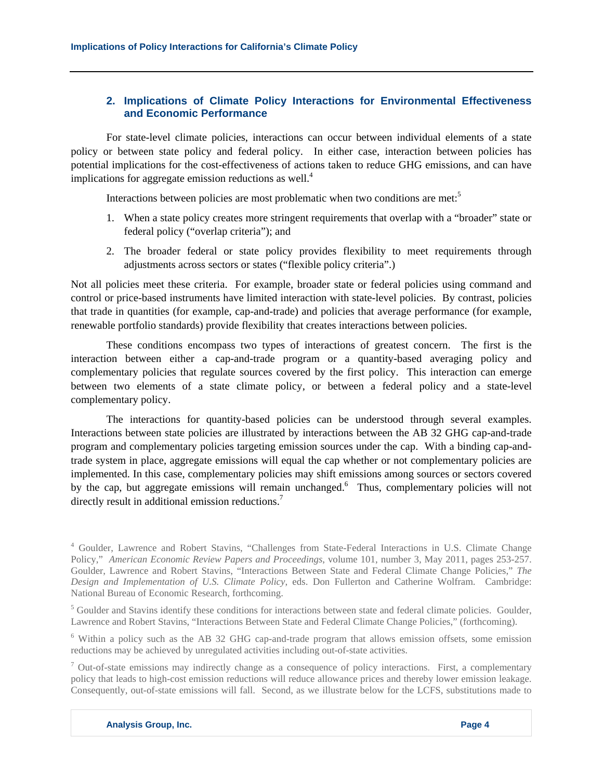# **2. Implications of Climate Policy Interactions for Environmental Effectiveness and Economic Performance**

For state-level climate policies, interactions can occur between individual elements of a state policy or between state policy and federal policy. In either case, interaction between policies has potential implications for the cost-effectiveness of actions taken to reduce GHG emissions, and can have implications for aggregate emission reductions as well. $4$ 

Interactions between policies are most problematic when two conditions are met:<sup>5</sup>

- 1. When a state policy creates more stringent requirements that overlap with a "broader" state or federal policy ("overlap criteria"); and
- 2. The broader federal or state policy provides flexibility to meet requirements through adjustments across sectors or states ("flexible policy criteria".)

Not all policies meet these criteria. For example, broader state or federal policies using command and control or price-based instruments have limited interaction with state-level policies. By contrast, policies that trade in quantities (for example, cap-and-trade) and policies that average performance (for example, renewable portfolio standards) provide flexibility that creates interactions between policies.

These conditions encompass two types of interactions of greatest concern. The first is the interaction between either a cap-and-trade program or a quantity-based averaging policy and complementary policies that regulate sources covered by the first policy. This interaction can emerge between two elements of a state climate policy, or between a federal policy and a state-level complementary policy.

The interactions for quantity-based policies can be understood through several examples. Interactions between state policies are illustrated by interactions between the AB 32 GHG cap-and-trade program and complementary policies targeting emission sources under the cap. With a binding cap-andtrade system in place, aggregate emissions will equal the cap whether or not complementary policies are implemented. In this case, complementary policies may shift emissions among sources or sectors covered by the cap, but aggregate emissions will remain unchanged. Thus, complementary policies will not directly result in additional emission reductions.<sup>7</sup>

<sup>6</sup> Within a policy such as the AB 32 GHG cap-and-trade program that allows emission offsets, some emission reductions may be achieved by unregulated activities including out-of-state activities.

 $^7$  Out-of-state emissions may indirectly change as a consequence of policy interactions. First, a complementary policy that leads to high-cost emission reductions will reduce allowance prices and thereby lower emission leakage. Consequently, out-of-state emissions will fall. Second, as we illustrate below for the LCFS, substitutions made to

<sup>&</sup>lt;sup>4</sup> Goulder, Lawrence and Robert Stavins, "Challenges from State-Federal Interactions in U.S. Climate Change Policy," *American Economic Review Papers and Proceedings*, volume 101, number 3, May 2011, pages 253-257. Goulder, Lawrence and Robert Stavins, "Interactions Between State and Federal Climate Change Policies," *The Design and Implementation of U.S. Climate Policy*, eds. Don Fullerton and Catherine Wolfram. Cambridge: National Bureau of Economic Research, forthcoming.

<sup>&</sup>lt;sup>5</sup> Goulder and Stavins identify these conditions for interactions between state and federal climate policies. Goulder, Lawrence and Robert Stavins, "Interactions Between State and Federal Climate Change Policies," (forthcoming).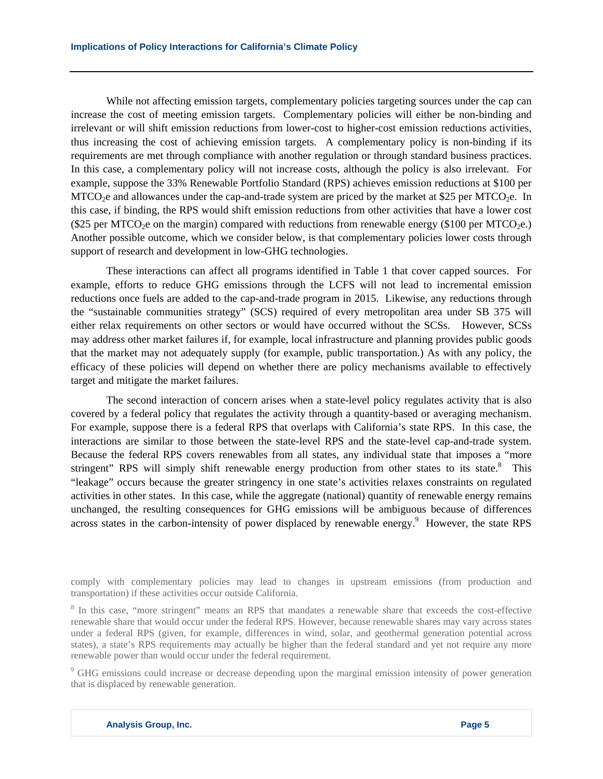While not affecting emission targets, complementary policies targeting sources under the cap can increase the cost of meeting emission targets. Complementary policies will either be non-binding and irrelevant or will shift emission reductions from lower-cost to higher-cost emission reductions activities, thus increasing the cost of achieving emission targets. A complementary policy is non-binding if its requirements are met through compliance with another regulation or through standard business practices. In this case, a complementary policy will not increase costs, although the policy is also irrelevant. For example, suppose the 33% Renewable Portfolio Standard (RPS) achieves emission reductions at \$100 per MTCO<sub>2</sub>e and allowances under the cap-and-trade system are priced by the market at \$25 per MTCO<sub>2</sub>e. In this case, if binding, the RPS would shift emission reductions from other activities that have a lower cost (\$25 per MTCO<sub>2</sub>e on the margin) compared with reductions from renewable energy (\$100 per MTCO<sub>2e</sub>.) Another possible outcome, which we consider below, is that complementary policies lower costs through support of research and development in low-GHG technologies.

These interactions can affect all programs identified in Table 1 that cover capped sources. For example, efforts to reduce GHG emissions through the LCFS will not lead to incremental emission reductions once fuels are added to the cap-and-trade program in 2015. Likewise, any reductions through the "sustainable communities strategy" (SCS) required of every metropolitan area under SB 375 will either relax requirements on other sectors or would have occurred without the SCSs. However, SCSs may address other market failures if, for example, local infrastructure and planning provides public goods that the market may not adequately supply (for example, public transportation.) As with any policy, the efficacy of these policies will depend on whether there are policy mechanisms available to effectively target and mitigate the market failures.

The second interaction of concern arises when a state-level policy regulates activity that is also covered by a federal policy that regulates the activity through a quantity-based or averaging mechanism. For example, suppose there is a federal RPS that overlaps with California's state RPS. In this case, the interactions are similar to those between the state-level RPS and the state-level cap-and-trade system. Because the federal RPS covers renewables from all states, any individual state that imposes a "more stringent" RPS will simply shift renewable energy production from other states to its state.<sup>8</sup> This "leakage" occurs because the greater stringency in one state's activities relaxes constraints on regulated activities in other states. In this case, while the aggregate (national) quantity of renewable energy remains unchanged, the resulting consequences for GHG emissions will be ambiguous because of differences across states in the carbon-intensity of power displaced by renewable energy.<sup>9</sup> However, the state RPS

comply with complementary policies may lead to changes in upstream emissions (from production and transportation) if these activities occur outside California.

<sup>8</sup> In this case, "more stringent" means an RPS that mandates a renewable share that exceeds the cost-effective renewable share that would occur under the federal RPS. However, because renewable shares may vary across states under a federal RPS (given, for example, differences in wind, solar, and geothermal generation potential across states), a state's RPS requirements may actually be higher than the federal standard and yet not require any more renewable power than would occur under the federal requirement.

<sup>9</sup> GHG emissions could increase or decrease depending upon the marginal emission intensity of power generation that is displaced by renewable generation.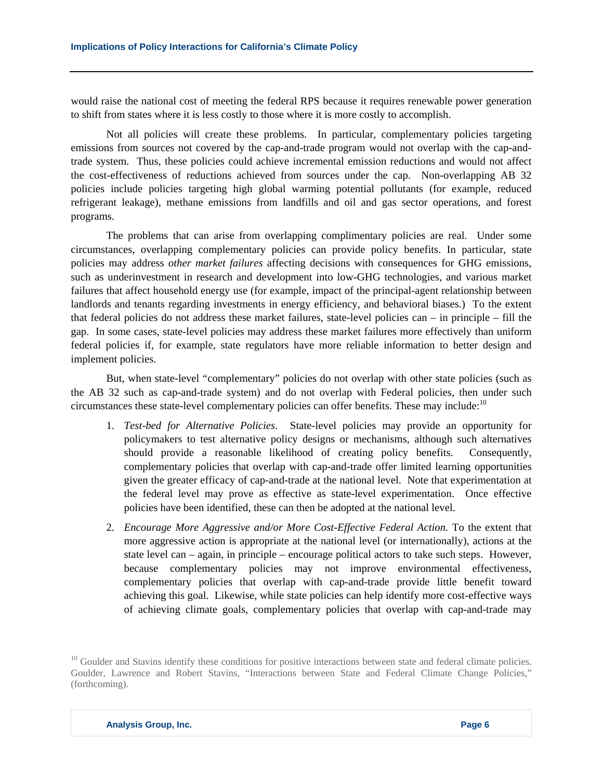would raise the national cost of meeting the federal RPS because it requires renewable power generation to shift from states where it is less costly to those where it is more costly to accomplish.

 Not all policies will create these problems. In particular, complementary policies targeting emissions from sources not covered by the cap-and-trade program would not overlap with the cap-andtrade system. Thus, these policies could achieve incremental emission reductions and would not affect the cost-effectiveness of reductions achieved from sources under the cap. Non-overlapping AB 32 policies include policies targeting high global warming potential pollutants (for example, reduced refrigerant leakage), methane emissions from landfills and oil and gas sector operations, and forest programs.

The problems that can arise from overlapping complimentary policies are real. Under some circumstances, overlapping complementary policies can provide policy benefits. In particular, state policies may address *other market failures* affecting decisions with consequences for GHG emissions, such as underinvestment in research and development into low-GHG technologies, and various market failures that affect household energy use (for example, impact of the principal-agent relationship between landlords and tenants regarding investments in energy efficiency, and behavioral biases.) To the extent that federal policies do not address these market failures, state-level policies can – in principle – fill the gap. In some cases, state-level policies may address these market failures more effectively than uniform federal policies if, for example, state regulators have more reliable information to better design and implement policies.

But, when state-level "complementary" policies do not overlap with other state policies (such as the AB 32 such as cap-and-trade system) and do not overlap with Federal policies, then under such circumstances these state-level complementary policies can offer benefits. These may include:<sup>10</sup>

- 1. *Test-bed for Alternative Policies*. State-level policies may provide an opportunity for policymakers to test alternative policy designs or mechanisms, although such alternatives should provide a reasonable likelihood of creating policy benefits. Consequently, complementary policies that overlap with cap-and-trade offer limited learning opportunities given the greater efficacy of cap-and-trade at the national level. Note that experimentation at the federal level may prove as effective as state-level experimentation. Once effective policies have been identified, these can then be adopted at the national level.
- 2. *Encourage More Aggressive and/or More Cost-Effective Federal Action.* To the extent that more aggressive action is appropriate at the national level (or internationally), actions at the state level can – again, in principle – encourage political actors to take such steps. However, because complementary policies may not improve environmental effectiveness, complementary policies that overlap with cap-and-trade provide little benefit toward achieving this goal. Likewise, while state policies can help identify more cost-effective ways of achieving climate goals, complementary policies that overlap with cap-and-trade may

 $10$  Goulder and Stavins identify these conditions for positive interactions between state and federal climate policies. Goulder, Lawrence and Robert Stavins, "Interactions between State and Federal Climate Change Policies," (forthcoming).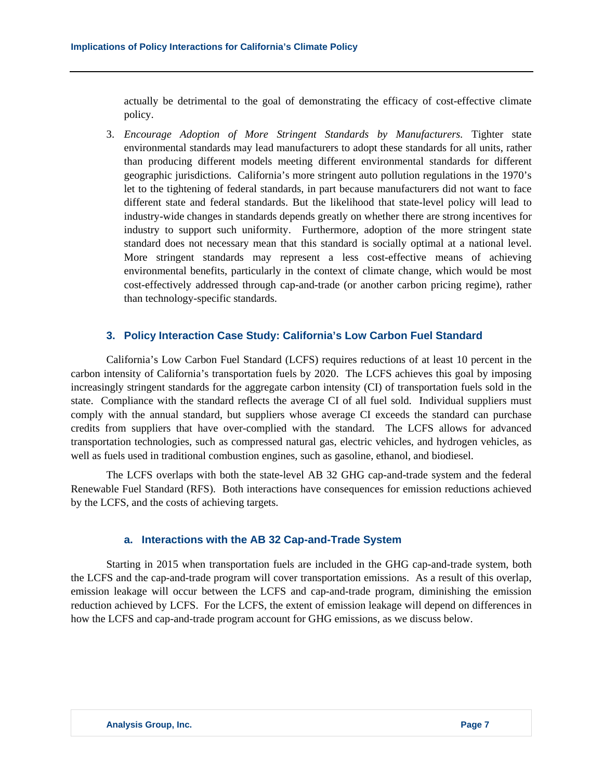actually be detrimental to the goal of demonstrating the efficacy of cost-effective climate policy.

3. *Encourage Adoption of More Stringent Standards by Manufacturers.* Tighter state environmental standards may lead manufacturers to adopt these standards for all units, rather than producing different models meeting different environmental standards for different geographic jurisdictions. California's more stringent auto pollution regulations in the 1970's let to the tightening of federal standards, in part because manufacturers did not want to face different state and federal standards. But the likelihood that state-level policy will lead to industry-wide changes in standards depends greatly on whether there are strong incentives for industry to support such uniformity. Furthermore, adoption of the more stringent state standard does not necessary mean that this standard is socially optimal at a national level. More stringent standards may represent a less cost-effective means of achieving environmental benefits, particularly in the context of climate change, which would be most cost-effectively addressed through cap-and-trade (or another carbon pricing regime), rather than technology-specific standards.

# **3. Policy Interaction Case Study: California's Low Carbon Fuel Standard**

California's Low Carbon Fuel Standard (LCFS) requires reductions of at least 10 percent in the carbon intensity of California's transportation fuels by 2020. The LCFS achieves this goal by imposing increasingly stringent standards for the aggregate carbon intensity (CI) of transportation fuels sold in the state. Compliance with the standard reflects the average CI of all fuel sold. Individual suppliers must comply with the annual standard, but suppliers whose average CI exceeds the standard can purchase credits from suppliers that have over-complied with the standard. The LCFS allows for advanced transportation technologies, such as compressed natural gas, electric vehicles, and hydrogen vehicles, as well as fuels used in traditional combustion engines, such as gasoline, ethanol, and biodiesel.

The LCFS overlaps with both the state-level AB 32 GHG cap-and-trade system and the federal Renewable Fuel Standard (RFS). Both interactions have consequences for emission reductions achieved by the LCFS, and the costs of achieving targets.

#### **a. Interactions with the AB 32 Cap-and-Trade System**

Starting in 2015 when transportation fuels are included in the GHG cap-and-trade system, both the LCFS and the cap-and-trade program will cover transportation emissions. As a result of this overlap, emission leakage will occur between the LCFS and cap-and-trade program, diminishing the emission reduction achieved by LCFS. For the LCFS, the extent of emission leakage will depend on differences in how the LCFS and cap-and-trade program account for GHG emissions, as we discuss below.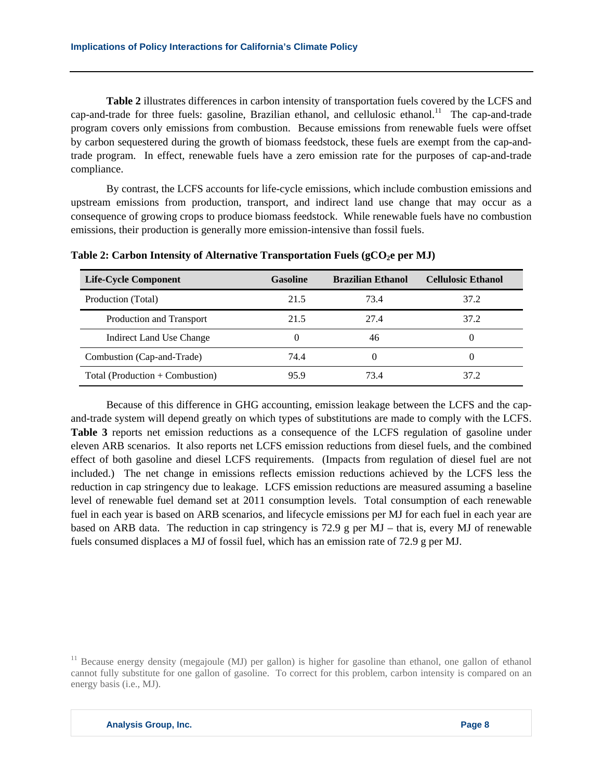**Table 2** illustrates differences in carbon intensity of transportation fuels covered by the LCFS and cap-and-trade for three fuels: gasoline, Brazilian ethanol, and cellulosic ethanol.<sup>11</sup> The cap-and-trade program covers only emissions from combustion. Because emissions from renewable fuels were offset by carbon sequestered during the growth of biomass feedstock, these fuels are exempt from the cap-andtrade program. In effect, renewable fuels have a zero emission rate for the purposes of cap-and-trade compliance.

By contrast, the LCFS accounts for life-cycle emissions, which include combustion emissions and upstream emissions from production, transport, and indirect land use change that may occur as a consequence of growing crops to produce biomass feedstock. While renewable fuels have no combustion emissions, their production is generally more emission-intensive than fossil fuels.

| <b>Life-Cycle Component</b>       | <b>Gasoline</b> | <b>Brazilian Ethanol</b> | <b>Cellulosic Ethanol</b> |
|-----------------------------------|-----------------|--------------------------|---------------------------|
| Production (Total)                | 21.5            | 73.4                     | 37.2                      |
| Production and Transport          | 21.5            | 27.4                     | 37.2                      |
| Indirect Land Use Change          |                 | 46                       | $\theta$                  |
| Combustion (Cap-and-Trade)        | 74.4            |                          | $\theta$                  |
| Total (Production $+$ Combustion) | 95.9            | 73.4                     | 37.2                      |

Table 2: Carbon Intensity of Alternative Transportation Fuels (gCO<sub>2</sub>e per MJ)

Because of this difference in GHG accounting, emission leakage between the LCFS and the capand-trade system will depend greatly on which types of substitutions are made to comply with the LCFS. **Table 3** reports net emission reductions as a consequence of the LCFS regulation of gasoline under eleven ARB scenarios. It also reports net LCFS emission reductions from diesel fuels, and the combined effect of both gasoline and diesel LCFS requirements. (Impacts from regulation of diesel fuel are not included.) The net change in emissions reflects emission reductions achieved by the LCFS less the reduction in cap stringency due to leakage. LCFS emission reductions are measured assuming a baseline level of renewable fuel demand set at 2011 consumption levels. Total consumption of each renewable fuel in each year is based on ARB scenarios, and lifecycle emissions per MJ for each fuel in each year are based on ARB data. The reduction in cap stringency is 72.9 g per MJ – that is, every MJ of renewable fuels consumed displaces a MJ of fossil fuel, which has an emission rate of 72.9 g per MJ.

 $11$  Because energy density (megajoule (MJ) per gallon) is higher for gasoline than ethanol, one gallon of ethanol cannot fully substitute for one gallon of gasoline. To correct for this problem, carbon intensity is compared on an energy basis (i.e., MJ).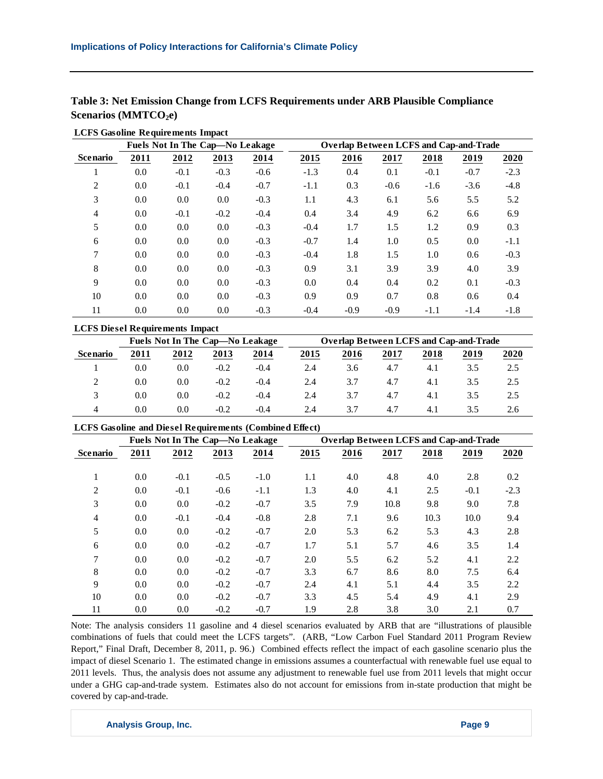|                                  |  | Table 3: Net Emission Change from LCFS Requirements under ARB Plausible Compliance |
|----------------------------------|--|------------------------------------------------------------------------------------|
| Scenarios (MMTCO <sub>2</sub> e) |  |                                                                                    |

|                 |         | Fuels Not In The Cap-No Leakage |        |        |        | <b>Overlap Between LCFS and Cap-and-Trade</b> |        |        |        |        |
|-----------------|---------|---------------------------------|--------|--------|--------|-----------------------------------------------|--------|--------|--------|--------|
| <b>Scenario</b> | 2011    | 2012                            | 2013   | 2014   | 2015   | 2016                                          | 2017   | 2018   | 2019   | 2020   |
|                 | 0.0     | $-0.1$                          | $-0.3$ | $-0.6$ | $-1.3$ | 0.4                                           | 0.1    | $-0.1$ | $-0.7$ | $-2.3$ |
| 2               | 0.0     | $-0.1$                          | $-0.4$ | $-0.7$ | $-1.1$ | 0.3                                           | $-0.6$ | $-1.6$ | $-3.6$ | $-4.8$ |
| 3               | 0.0     | 0.0                             | 0.0    | $-0.3$ | 1.1    | 4.3                                           | 6.1    | 5.6    | 5.5    | 5.2    |
| 4               | 0.0     | $-0.1$                          | $-0.2$ | $-0.4$ | 0.4    | 3.4                                           | 4.9    | 6.2    | 6.6    | 6.9    |
| 5               | 0.0     | 0.0                             | 0.0    | $-0.3$ | $-0.4$ | 1.7                                           | 1.5    | 1.2    | 0.9    | 0.3    |
| 6               | 0.0     | 0.0                             | 0.0    | $-0.3$ | $-0.7$ | 1.4                                           | 1.0    | 0.5    | 0.0    | $-1.1$ |
| 7               | 0.0     | 0.0                             | 0.0    | $-0.3$ | $-0.4$ | 1.8                                           | 1.5    | 1.0    | 0.6    | $-0.3$ |
| 8               | 0.0     | 0.0                             | 0.0    | $-0.3$ | 0.9    | 3.1                                           | 3.9    | 3.9    | 4.0    | 3.9    |
| 9               | 0.0     | 0.0                             | 0.0    | $-0.3$ | 0.0    | 0.4                                           | 0.4    | 0.2    | 0.1    | $-0.3$ |
| 10              | 0.0     | 0.0                             | 0.0    | $-0.3$ | 0.9    | 0.9                                           | 0.7    | 0.8    | 0.6    | 0.4    |
| 11              | $0.0\,$ | 0.0                             | 0.0    | $-0.3$ | $-0.4$ | $-0.9$                                        | $-0.9$ | $-1.1$ | $-1.4$ | $-1.8$ |
|                 |         |                                 |        |        |        |                                               |        |        |        |        |

|  | <b>LCFS Gasoline Requirements Impact</b> |  |
|--|------------------------------------------|--|
|  |                                          |  |

| <b>LCFS Diesel Requirements Impact</b> |      |                                 |        |        |      |                                               |      |      |      |      |
|----------------------------------------|------|---------------------------------|--------|--------|------|-----------------------------------------------|------|------|------|------|
|                                        |      | Fuels Not In The Cap—No Leakage |        |        |      | <b>Overlap Between LCFS and Cap-and-Trade</b> |      |      |      |      |
| <b>Scenario</b>                        | 2011 | 2012                            | 2013   | 2014   | 2015 | 2016                                          | 2017 | 2018 | 2019 | 2020 |
|                                        | 0.0  | 0.0                             | $-0.2$ | $-0.4$ | 2.4  | 3.6                                           | 4.7  | 4.1  | 3.5  | 2.5  |
| ∍                                      | 0.0  | 0.0                             | $-0.2$ | $-0.4$ | 2.4  | 3.7                                           | 4.7  | 4.1  | 3.5  | 2.5  |
| 3                                      | 0.0  | 0.0                             | $-0.2$ | $-0.4$ | 2.4  | 3.7                                           | 4.7  | 4.1  | 3.5  | 2.5  |
| 4                                      | 0.0  | 0.0                             | $-0.2$ | $-0.4$ | 2.4  | 3.7                                           | 4.7  | 4.1  | 3.5  | 2.6  |

## **LCFS Gasoline and Diesel Requirements (Combined Effect)**

|                 |      | Fuels Not In The Cap-No Leakage |        |        |      | <b>Overlap Between LCFS and Cap-and-Trade</b> |      |      |        |        |
|-----------------|------|---------------------------------|--------|--------|------|-----------------------------------------------|------|------|--------|--------|
| <b>Scenario</b> | 2011 | 2012                            | 2013   | 2014   | 2015 | 2016                                          | 2017 | 2018 | 2019   | 2020   |
|                 | 0.0  | $-0.1$                          | $-0.5$ | $-1.0$ | 1.1  | 4.0                                           | 4.8  | 4.0  | 2.8    | 0.2    |
| л.              |      |                                 |        |        |      |                                               |      |      |        |        |
| 2               | 0.0  | $-0.1$                          | $-0.6$ | $-1.1$ | 1.3  | 4.0                                           | 4.1  | 2.5  | $-0.1$ | $-2.3$ |
| 3               | 0.0  | 0.0                             | $-0.2$ | $-0.7$ | 3.5  | 7.9                                           | 10.8 | 9.8  | 9.0    | 7.8    |
| $\overline{4}$  | 0.0  | $-0.1$                          | $-0.4$ | $-0.8$ | 2.8  | 7.1                                           | 9.6  | 10.3 | 10.0   | 9.4    |
| 5               | 0.0  | 0.0                             | $-0.2$ | $-0.7$ | 2.0  | 5.3                                           | 6.2  | 5.3  | 4.3    | 2.8    |
| 6               | 0.0  | 0.0                             | $-0.2$ | $-0.7$ | 1.7  | 5.1                                           | 5.7  | 4.6  | 3.5    | 1.4    |
| 7               | 0.0  | 0.0                             | $-0.2$ | $-0.7$ | 2.0  | 5.5                                           | 6.2  | 5.2  | 4.1    | 2.2    |
| 8               | 0.0  | 0.0                             | $-0.2$ | $-0.7$ | 3.3  | 6.7                                           | 8.6  | 8.0  | 7.5    | 6.4    |
| 9               | 0.0  | 0.0                             | $-0.2$ | $-0.7$ | 2.4  | 4.1                                           | 5.1  | 4.4  | 3.5    | 2.2    |
| 10              | 0.0  | 0.0                             | $-0.2$ | $-0.7$ | 3.3  | 4.5                                           | 5.4  | 4.9  | 4.1    | 2.9    |
| 11              | 0.0  | 0.0                             | $-0.2$ | $-0.7$ | 1.9  | 2.8                                           | 3.8  | 3.0  | 2.1    | 0.7    |

Note: The analysis considers 11 gasoline and 4 diesel scenarios evaluated by ARB that are "illustrations of plausible combinations of fuels that could meet the LCFS targets". (ARB, "Low Carbon Fuel Standard 2011 Program Review Report," Final Draft, December 8, 2011, p. 96.) Combined effects reflect the impact of each gasoline scenario plus the impact of diesel Scenario 1. The estimated change in emissions assumes a counterfactual with renewable fuel use equal to 2011 levels. Thus, the analysis does not assume any adjustment to renewable fuel use from 2011 levels that might occur under a GHG cap-and-trade system. Estimates also do not account for emissions from in-state production that might be covered by cap-and-trade.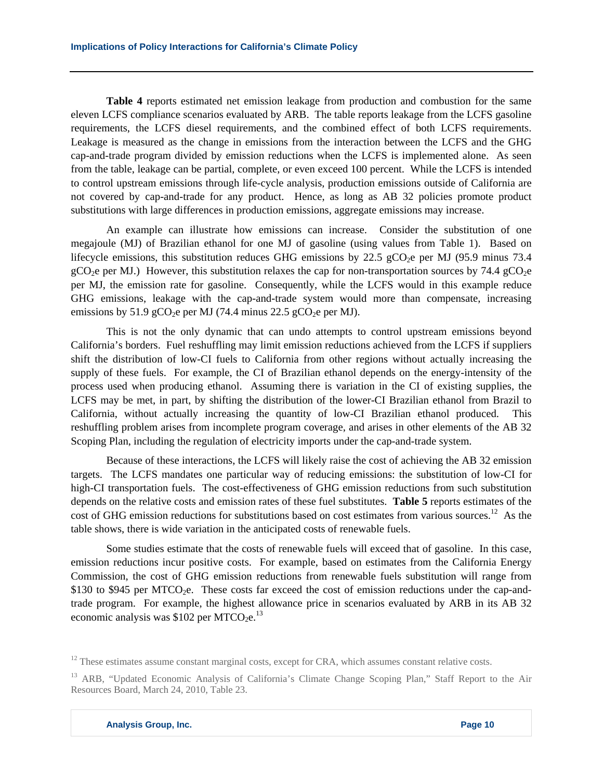**Table 4** reports estimated net emission leakage from production and combustion for the same eleven LCFS compliance scenarios evaluated by ARB. The table reports leakage from the LCFS gasoline requirements, the LCFS diesel requirements, and the combined effect of both LCFS requirements. Leakage is measured as the change in emissions from the interaction between the LCFS and the GHG cap-and-trade program divided by emission reductions when the LCFS is implemented alone. As seen from the table, leakage can be partial, complete, or even exceed 100 percent. While the LCFS is intended to control upstream emissions through life-cycle analysis, production emissions outside of California are not covered by cap-and-trade for any product. Hence, as long as AB 32 policies promote product substitutions with large differences in production emissions, aggregate emissions may increase.

An example can illustrate how emissions can increase. Consider the substitution of one megajoule (MJ) of Brazilian ethanol for one MJ of gasoline (using values from Table 1). Based on lifecycle emissions, this substitution reduces GHG emissions by 22.5 gCO<sub>2</sub>e per MJ (95.9 minus 73.4) gCO<sub>2</sub>e per MJ.) However, this substitution relaxes the cap for non-transportation sources by 74.4 gCO<sub>2</sub>e per MJ, the emission rate for gasoline. Consequently, while the LCFS would in this example reduce GHG emissions, leakage with the cap-and-trade system would more than compensate, increasing emissions by 51.9 gCO<sub>2</sub>e per MJ (74.4 minus 22.5 gCO<sub>2</sub>e per MJ).

This is not the only dynamic that can undo attempts to control upstream emissions beyond California's borders. Fuel reshuffling may limit emission reductions achieved from the LCFS if suppliers shift the distribution of low-CI fuels to California from other regions without actually increasing the supply of these fuels. For example, the CI of Brazilian ethanol depends on the energy-intensity of the process used when producing ethanol. Assuming there is variation in the CI of existing supplies, the LCFS may be met, in part, by shifting the distribution of the lower-CI Brazilian ethanol from Brazil to California, without actually increasing the quantity of low-CI Brazilian ethanol produced. This reshuffling problem arises from incomplete program coverage, and arises in other elements of the AB 32 Scoping Plan, including the regulation of electricity imports under the cap-and-trade system.

Because of these interactions, the LCFS will likely raise the cost of achieving the AB 32 emission targets. The LCFS mandates one particular way of reducing emissions: the substitution of low-CI for high-CI transportation fuels. The cost-effectiveness of GHG emission reductions from such substitution depends on the relative costs and emission rates of these fuel substitutes. **Table 5** reports estimates of the cost of GHG emission reductions for substitutions based on cost estimates from various sources.<sup>12</sup> As the table shows, there is wide variation in the anticipated costs of renewable fuels.

Some studies estimate that the costs of renewable fuels will exceed that of gasoline. In this case, emission reductions incur positive costs. For example, based on estimates from the California Energy Commission, the cost of GHG emission reductions from renewable fuels substitution will range from \$130 to \$945 per MTCO<sub>2</sub>e. These costs far exceed the cost of emission reductions under the cap-andtrade program. For example, the highest allowance price in scenarios evaluated by ARB in its AB 32 economic analysis was \$102 per MTCO<sub>2</sub>e.<sup>13</sup>

<sup>&</sup>lt;sup>12</sup> These estimates assume constant marginal costs, except for CRA, which assumes constant relative costs.

<sup>&</sup>lt;sup>13</sup> ARB, "Updated Economic Analysis of California's Climate Change Scoping Plan," Staff Report to the Air Resources Board, March 24, 2010, Table 23.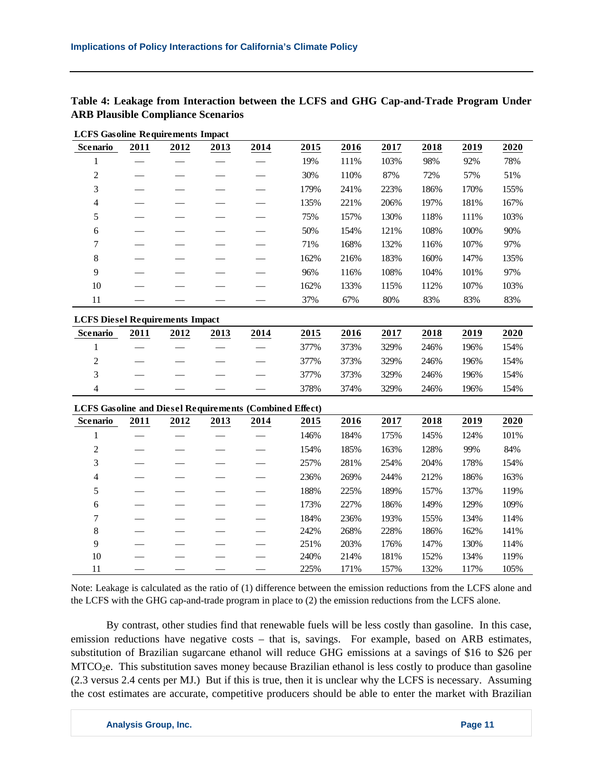| <b>LCFS Gasoline Requirements Impact</b>                       |      |      |      |      |      |      |      |      |      |      |
|----------------------------------------------------------------|------|------|------|------|------|------|------|------|------|------|
| <b>Scenario</b>                                                | 2011 | 2012 | 2013 | 2014 | 2015 | 2016 | 2017 | 2018 | 2019 | 2020 |
| $\mathbf{1}$                                                   |      |      |      |      | 19%  | 111% | 103% | 98%  | 92%  | 78%  |
| $\overline{c}$                                                 |      |      |      |      | 30%  | 110% | 87%  | 72%  | 57%  | 51%  |
| 3                                                              |      |      |      |      | 179% | 241% | 223% | 186% | 170% | 155% |
| $\overline{\mathcal{A}}$                                       |      |      |      |      | 135% | 221% | 206% | 197% | 181% | 167% |
| 5                                                              |      |      |      |      | 75%  | 157% | 130% | 118% | 111% | 103% |
| $\sqrt{6}$                                                     |      |      |      |      | 50%  | 154% | 121% | 108% | 100% | 90%  |
| 7                                                              |      |      |      |      | 71%  | 168% | 132% | 116% | 107% | 97%  |
| $8\,$                                                          |      |      |      |      | 162% | 216% | 183% | 160% | 147% | 135% |
| 9                                                              |      |      |      |      | 96%  | 116% | 108% | 104% | 101% | 97%  |
| 10                                                             |      |      |      |      | 162% | 133% | 115% | 112% | 107% | 103% |
| 11                                                             |      |      |      |      | 37%  | 67%  | 80%  | 83%  | 83%  | 83%  |
| <b>LCFS Diesel Requirements Impact</b>                         |      |      |      |      |      |      |      |      |      |      |
| Scenario                                                       | 2011 | 2012 | 2013 | 2014 | 2015 | 2016 | 2017 | 2018 | 2019 | 2020 |
| $\mathbf{1}$                                                   |      |      |      |      | 377% | 373% | 329% | 246% | 196% | 154% |
| $\overline{c}$                                                 |      |      |      |      | 377% | 373% | 329% | 246% | 196% | 154% |
| 3                                                              |      |      |      |      | 377% | 373% | 329% | 246% | 196% | 154% |
| $\overline{4}$                                                 |      |      |      |      | 378% | 374% | 329% | 246% | 196% | 154% |
| <b>LCFS Gasoline and Diesel Requirements (Combined Effect)</b> |      |      |      |      |      |      |      |      |      |      |
| <b>Scenario</b>                                                | 2011 | 2012 | 2013 | 2014 | 2015 | 2016 | 2017 | 2018 | 2019 | 2020 |
| $\mathbf{1}$                                                   |      |      |      |      | 146% | 184% | 175% | 145% | 124% | 101% |
| $\mathfrak{2}$                                                 |      |      |      |      | 154% | 185% | 163% | 128% | 99%  | 84%  |
| 3                                                              |      |      |      |      | 257% | 281% | 254% | 204% | 178% | 154% |
| 4                                                              |      |      |      |      | 236% | 269% | 244% | 212% | 186% | 163% |
| 5                                                              |      |      |      |      | 188% | 225% | 189% | 157% | 137% | 119% |
| $\sqrt{6}$                                                     |      |      |      |      | 173% | 227% | 186% | 149% | 129% | 109% |
| 7                                                              |      |      |      |      | 184% | 236% | 193% | 155% | 134% | 114% |
| $8\,$                                                          |      |      |      |      | 242% | 268% | 228% | 186% | 162% | 141% |
| 9                                                              |      |      |      |      | 251% | 203% | 176% | 147% | 130% | 114% |
| 10                                                             |      |      |      |      | 240% | 214% | 181% | 152% | 134% | 119% |
| 11                                                             |      |      |      |      | 225% | 171% | 157% | 132% | 117% | 105% |

**Table 4: Leakage from Interaction between the LCFS and GHG Cap-and-Trade Program Under ARB Plausible Compliance Scenarios** 

Note: Leakage is calculated as the ratio of (1) difference between the emission reductions from the LCFS alone and the LCFS with the GHG cap-and-trade program in place to (2) the emission reductions from the LCFS alone.

By contrast, other studies find that renewable fuels will be less costly than gasoline. In this case, emission reductions have negative costs – that is, savings. For example, based on ARB estimates, substitution of Brazilian sugarcane ethanol will reduce GHG emissions at a savings of \$16 to \$26 per  $MTCO<sub>2</sub>e$ . This substitution saves money because Brazilian ethanol is less costly to produce than gasoline (2.3 versus 2.4 cents per MJ.) But if this is true, then it is unclear why the LCFS is necessary. Assuming the cost estimates are accurate, competitive producers should be able to enter the market with Brazilian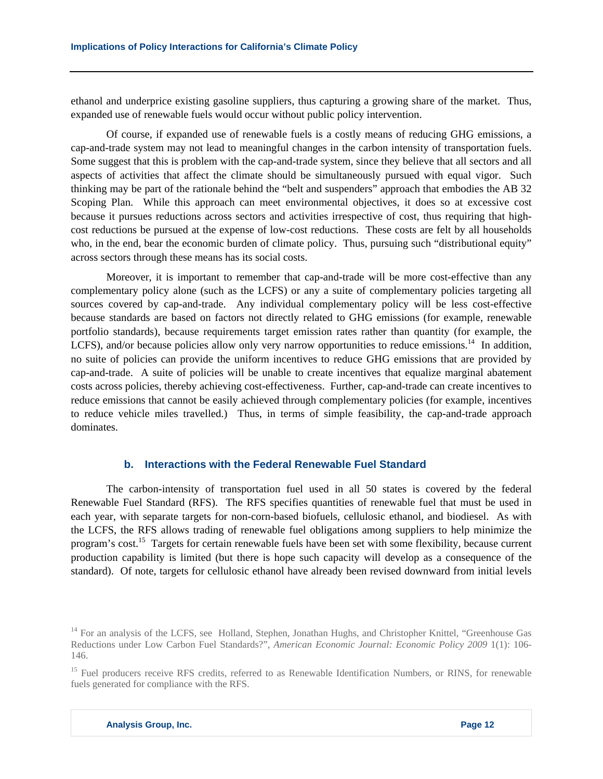ethanol and underprice existing gasoline suppliers, thus capturing a growing share of the market. Thus, expanded use of renewable fuels would occur without public policy intervention.

Of course, if expanded use of renewable fuels is a costly means of reducing GHG emissions, a cap-and-trade system may not lead to meaningful changes in the carbon intensity of transportation fuels. Some suggest that this is problem with the cap-and-trade system, since they believe that all sectors and all aspects of activities that affect the climate should be simultaneously pursued with equal vigor. Such thinking may be part of the rationale behind the "belt and suspenders" approach that embodies the AB 32 Scoping Plan. While this approach can meet environmental objectives, it does so at excessive cost because it pursues reductions across sectors and activities irrespective of cost, thus requiring that highcost reductions be pursued at the expense of low-cost reductions. These costs are felt by all households who, in the end, bear the economic burden of climate policy. Thus, pursuing such "distributional equity" across sectors through these means has its social costs.

Moreover, it is important to remember that cap-and-trade will be more cost-effective than any complementary policy alone (such as the LCFS) or any a suite of complementary policies targeting all sources covered by cap-and-trade. Any individual complementary policy will be less cost-effective because standards are based on factors not directly related to GHG emissions (for example, renewable portfolio standards), because requirements target emission rates rather than quantity (for example, the LCFS), and/or because policies allow only very narrow opportunities to reduce emissions.<sup>14</sup> In addition, no suite of policies can provide the uniform incentives to reduce GHG emissions that are provided by cap-and-trade. A suite of policies will be unable to create incentives that equalize marginal abatement costs across policies, thereby achieving cost-effectiveness. Further, cap-and-trade can create incentives to reduce emissions that cannot be easily achieved through complementary policies (for example, incentives to reduce vehicle miles travelled.) Thus, in terms of simple feasibility, the cap-and-trade approach dominates.

# **b. Interactions with the Federal Renewable Fuel Standard**

The carbon-intensity of transportation fuel used in all 50 states is covered by the federal Renewable Fuel Standard (RFS). The RFS specifies quantities of renewable fuel that must be used in each year, with separate targets for non-corn-based biofuels, cellulosic ethanol, and biodiesel. As with the LCFS, the RFS allows trading of renewable fuel obligations among suppliers to help minimize the program's cost.<sup>15</sup> Targets for certain renewable fuels have been set with some flexibility, because current production capability is limited (but there is hope such capacity will develop as a consequence of the standard). Of note, targets for cellulosic ethanol have already been revised downward from initial levels

<sup>&</sup>lt;sup>14</sup> For an analysis of the LCFS, see Holland, Stephen, Jonathan Hughs, and Christopher Knittel, "Greenhouse Gas Reductions under Low Carbon Fuel Standards?", *American Economic Journal: Economic Policy 2009* 1(1): 106- 146.

<sup>&</sup>lt;sup>15</sup> Fuel producers receive RFS credits, referred to as Renewable Identification Numbers, or RINS, for renewable fuels generated for compliance with the RFS.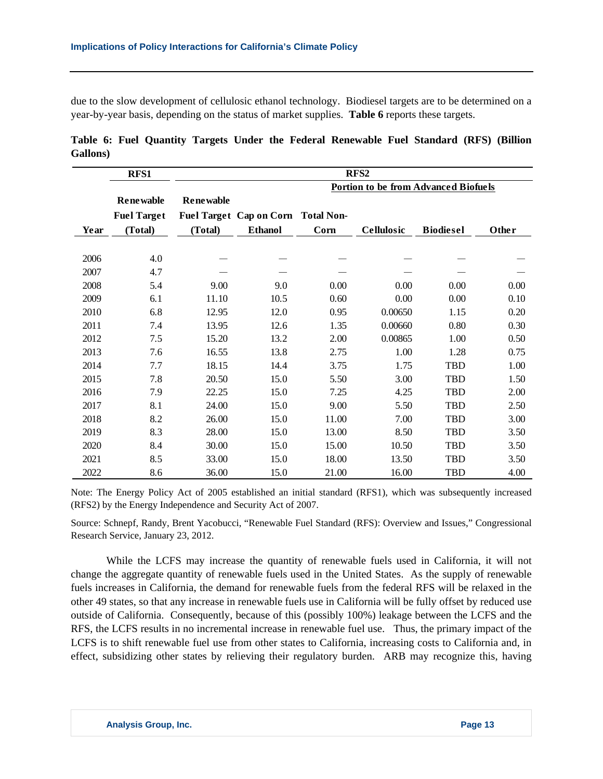due to the slow development of cellulosic ethanol technology. Biodiesel targets are to be determined on a year-by-year basis, depending on the status of market supplies. **Table 6** reports these targets.

|                  |  |  |  | Table 6: Fuel Quantity Targets Under the Federal Renewable Fuel Standard (RFS) (Billion |  |  |
|------------------|--|--|--|-----------------------------------------------------------------------------------------|--|--|
| <b>Gallons</b> ) |  |  |  |                                                                                         |  |  |

|      | RFS1               |                  |                                    |       | RFS <sub>2</sub>                            |                  |       |
|------|--------------------|------------------|------------------------------------|-------|---------------------------------------------|------------------|-------|
|      |                    |                  |                                    |       | <b>Portion to be from Advanced Biofuels</b> |                  |       |
|      | <b>Renewable</b>   | <b>Renewable</b> |                                    |       |                                             |                  |       |
|      | <b>Fuel Target</b> |                  | Fuel Target Cap on Corn Total Non- |       |                                             |                  |       |
| Year | (Total)            | (Total)          | <b>Ethanol</b>                     | Corn  | <b>Cellulosic</b>                           | <b>Biodiesel</b> | Other |
|      |                    |                  |                                    |       |                                             |                  |       |
| 2006 | 4.0                |                  |                                    |       |                                             |                  |       |
| 2007 | 4.7                |                  |                                    |       |                                             |                  |       |
| 2008 | 5.4                | 9.00             | 9.0                                | 0.00  | 0.00                                        | 0.00             | 0.00  |
| 2009 | 6.1                | 11.10            | 10.5                               | 0.60  | 0.00                                        | 0.00             | 0.10  |
| 2010 | 6.8                | 12.95            | 12.0                               | 0.95  | 0.00650                                     | 1.15             | 0.20  |
| 2011 | 7.4                | 13.95            | 12.6                               | 1.35  | 0.00660                                     | 0.80             | 0.30  |
| 2012 | 7.5                | 15.20            | 13.2                               | 2.00  | 0.00865                                     | 1.00             | 0.50  |
| 2013 | 7.6                | 16.55            | 13.8                               | 2.75  | 1.00                                        | 1.28             | 0.75  |
| 2014 | 7.7                | 18.15            | 14.4                               | 3.75  | 1.75                                        | <b>TBD</b>       | 1.00  |
| 2015 | 7.8                | 20.50            | 15.0                               | 5.50  | 3.00                                        | <b>TBD</b>       | 1.50  |
| 2016 | 7.9                | 22.25            | 15.0                               | 7.25  | 4.25                                        | <b>TBD</b>       | 2.00  |
| 2017 | 8.1                | 24.00            | 15.0                               | 9.00  | 5.50                                        | TBD              | 2.50  |
| 2018 | 8.2                | 26.00            | 15.0                               | 11.00 | 7.00                                        | <b>TBD</b>       | 3.00  |
| 2019 | 8.3                | 28.00            | 15.0                               | 13.00 | 8.50                                        | TBD              | 3.50  |
| 2020 | 8.4                | 30.00            | 15.0                               | 15.00 | 10.50                                       | <b>TBD</b>       | 3.50  |
| 2021 | 8.5                | 33.00            | 15.0                               | 18.00 | 13.50                                       | <b>TBD</b>       | 3.50  |
| 2022 | 8.6                | 36.00            | 15.0                               | 21.00 | 16.00                                       | TBD              | 4.00  |

Note: The Energy Policy Act of 2005 established an initial standard (RFS1), which was subsequently increased (RFS2) by the Energy Independence and Security Act of 2007.

Source: Schnepf, Randy, Brent Yacobucci, "Renewable Fuel Standard (RFS): Overview and Issues," Congressional Research Service, January 23, 2012.

While the LCFS may increase the quantity of renewable fuels used in California, it will not change the aggregate quantity of renewable fuels used in the United States. As the supply of renewable fuels increases in California, the demand for renewable fuels from the federal RFS will be relaxed in the other 49 states, so that any increase in renewable fuels use in California will be fully offset by reduced use outside of California. Consequently, because of this (possibly 100%) leakage between the LCFS and the RFS, the LCFS results in no incremental increase in renewable fuel use. Thus, the primary impact of the LCFS is to shift renewable fuel use from other states to California, increasing costs to California and, in effect, subsidizing other states by relieving their regulatory burden. ARB may recognize this, having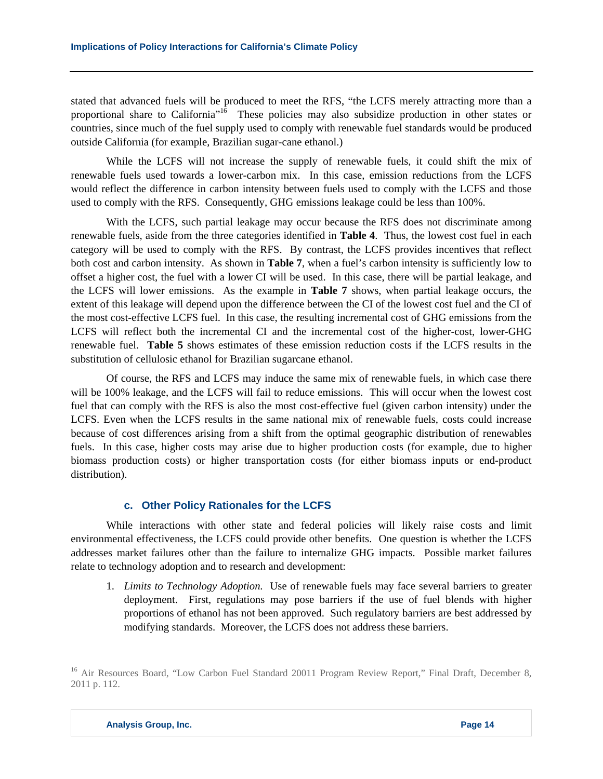stated that advanced fuels will be produced to meet the RFS, "the LCFS merely attracting more than a proportional share to California"16 These policies may also subsidize production in other states or countries, since much of the fuel supply used to comply with renewable fuel standards would be produced outside California (for example, Brazilian sugar-cane ethanol.)

While the LCFS will not increase the supply of renewable fuels, it could shift the mix of renewable fuels used towards a lower-carbon mix. In this case, emission reductions from the LCFS would reflect the difference in carbon intensity between fuels used to comply with the LCFS and those used to comply with the RFS. Consequently, GHG emissions leakage could be less than 100%.

With the LCFS, such partial leakage may occur because the RFS does not discriminate among renewable fuels, aside from the three categories identified in **Table 4**. Thus, the lowest cost fuel in each category will be used to comply with the RFS. By contrast, the LCFS provides incentives that reflect both cost and carbon intensity. As shown in **Table 7**, when a fuel's carbon intensity is sufficiently low to offset a higher cost, the fuel with a lower CI will be used. In this case, there will be partial leakage, and the LCFS will lower emissions. As the example in **Table 7** shows, when partial leakage occurs, the extent of this leakage will depend upon the difference between the CI of the lowest cost fuel and the CI of the most cost-effective LCFS fuel. In this case, the resulting incremental cost of GHG emissions from the LCFS will reflect both the incremental CI and the incremental cost of the higher-cost, lower-GHG renewable fuel. **Table 5** shows estimates of these emission reduction costs if the LCFS results in the substitution of cellulosic ethanol for Brazilian sugarcane ethanol.

Of course, the RFS and LCFS may induce the same mix of renewable fuels, in which case there will be 100% leakage, and the LCFS will fail to reduce emissions. This will occur when the lowest cost fuel that can comply with the RFS is also the most cost-effective fuel (given carbon intensity) under the LCFS. Even when the LCFS results in the same national mix of renewable fuels, costs could increase because of cost differences arising from a shift from the optimal geographic distribution of renewables fuels. In this case, higher costs may arise due to higher production costs (for example, due to higher biomass production costs) or higher transportation costs (for either biomass inputs or end-product distribution).

# **c. Other Policy Rationales for the LCFS**

While interactions with other state and federal policies will likely raise costs and limit environmental effectiveness, the LCFS could provide other benefits. One question is whether the LCFS addresses market failures other than the failure to internalize GHG impacts. Possible market failures relate to technology adoption and to research and development:

1. *Limits to Technology Adoption.* Use of renewable fuels may face several barriers to greater deployment. First, regulations may pose barriers if the use of fuel blends with higher proportions of ethanol has not been approved. Such regulatory barriers are best addressed by modifying standards. Moreover, the LCFS does not address these barriers.

<sup>&</sup>lt;sup>16</sup> Air Resources Board, "Low Carbon Fuel Standard 20011 Program Review Report," Final Draft, December 8, 2011 p. 112.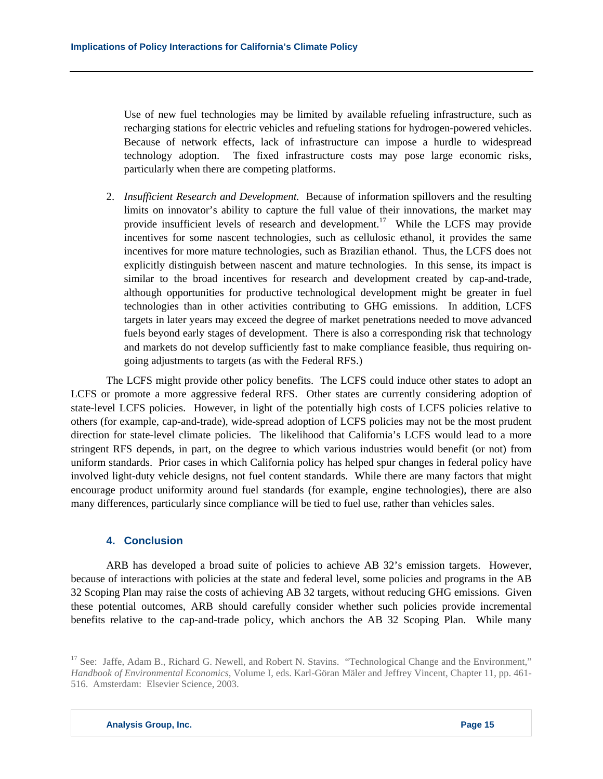Use of new fuel technologies may be limited by available refueling infrastructure, such as recharging stations for electric vehicles and refueling stations for hydrogen-powered vehicles. Because of network effects, lack of infrastructure can impose a hurdle to widespread technology adoption. The fixed infrastructure costs may pose large economic risks, particularly when there are competing platforms.

2. *Insufficient Research and Development.* Because of information spillovers and the resulting limits on innovator's ability to capture the full value of their innovations, the market may provide insufficient levels of research and development.<sup>17</sup> While the LCFS may provide incentives for some nascent technologies, such as cellulosic ethanol, it provides the same incentives for more mature technologies, such as Brazilian ethanol. Thus, the LCFS does not explicitly distinguish between nascent and mature technologies. In this sense, its impact is similar to the broad incentives for research and development created by cap-and-trade, although opportunities for productive technological development might be greater in fuel technologies than in other activities contributing to GHG emissions. In addition, LCFS targets in later years may exceed the degree of market penetrations needed to move advanced fuels beyond early stages of development. There is also a corresponding risk that technology and markets do not develop sufficiently fast to make compliance feasible, thus requiring ongoing adjustments to targets (as with the Federal RFS.)

The LCFS might provide other policy benefits. The LCFS could induce other states to adopt an LCFS or promote a more aggressive federal RFS. Other states are currently considering adoption of state-level LCFS policies. However, in light of the potentially high costs of LCFS policies relative to others (for example, cap-and-trade), wide-spread adoption of LCFS policies may not be the most prudent direction for state-level climate policies. The likelihood that California's LCFS would lead to a more stringent RFS depends, in part, on the degree to which various industries would benefit (or not) from uniform standards. Prior cases in which California policy has helped spur changes in federal policy have involved light-duty vehicle designs, not fuel content standards. While there are many factors that might encourage product uniformity around fuel standards (for example, engine technologies), there are also many differences, particularly since compliance will be tied to fuel use, rather than vehicles sales.

## **4. Conclusion**

ARB has developed a broad suite of policies to achieve AB 32's emission targets. However, because of interactions with policies at the state and federal level, some policies and programs in the AB 32 Scoping Plan may raise the costs of achieving AB 32 targets, without reducing GHG emissions. Given these potential outcomes, ARB should carefully consider whether such policies provide incremental benefits relative to the cap-and-trade policy, which anchors the AB 32 Scoping Plan. While many

<sup>&</sup>lt;sup>17</sup> See: Jaffe, Adam B., Richard G. Newell, and Robert N. Stavins. "Technological Change and the Environment," *Handbook of Environmental Economics*, Volume I, eds. Karl-Göran Mäler and Jeffrey Vincent, Chapter 11, pp. 461- 516. Amsterdam: Elsevier Science, 2003.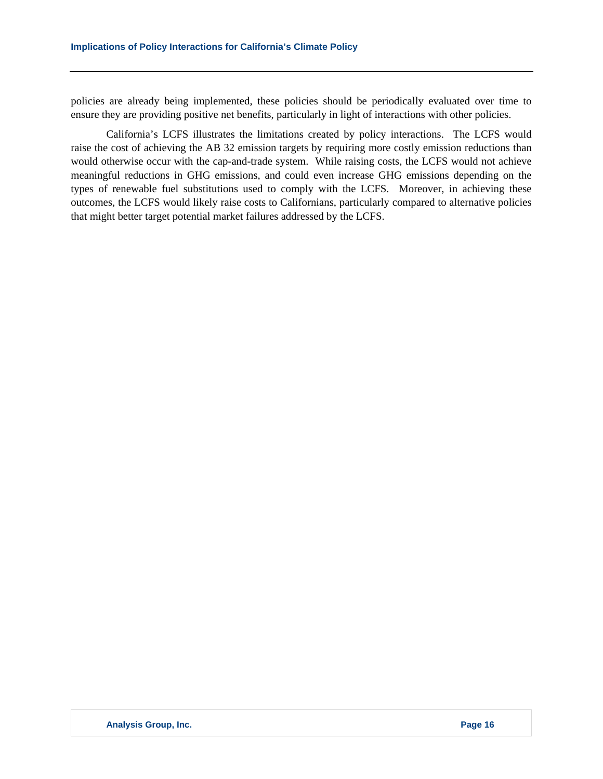policies are already being implemented, these policies should be periodically evaluated over time to ensure they are providing positive net benefits, particularly in light of interactions with other policies.

California's LCFS illustrates the limitations created by policy interactions. The LCFS would raise the cost of achieving the AB 32 emission targets by requiring more costly emission reductions than would otherwise occur with the cap-and-trade system. While raising costs, the LCFS would not achieve meaningful reductions in GHG emissions, and could even increase GHG emissions depending on the types of renewable fuel substitutions used to comply with the LCFS. Moreover, in achieving these outcomes, the LCFS would likely raise costs to Californians, particularly compared to alternative policies that might better target potential market failures addressed by the LCFS.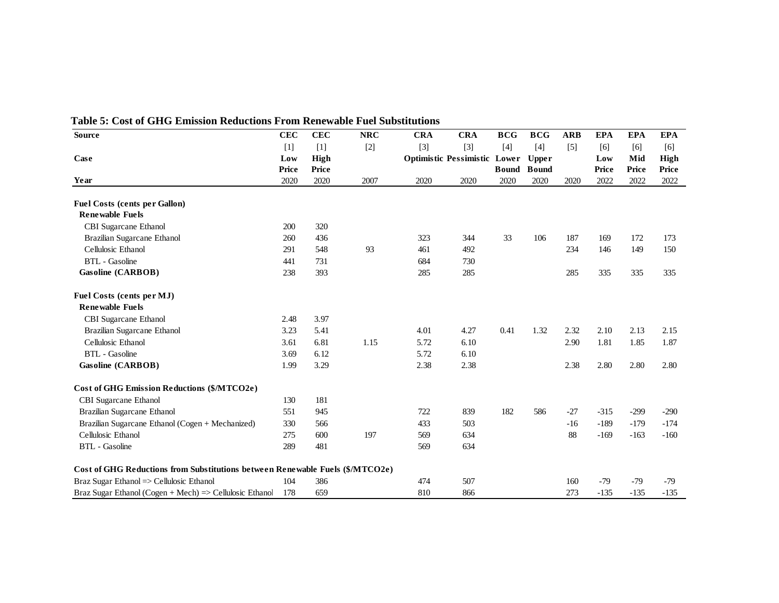| <b>Source</b>                                                                 | <b>CEC</b> | <b>CEC</b>  | <b>NRC</b> | <b>CRA</b> | <b>CRA</b>                   | <b>BCG</b>   | <b>BCG</b>   | <b>ARB</b> | <b>EPA</b> | <b>EPA</b> | <b>EPA</b>  |
|-------------------------------------------------------------------------------|------------|-------------|------------|------------|------------------------------|--------------|--------------|------------|------------|------------|-------------|
|                                                                               | $[1]$      | $[1]$       | $[2]$      | $[3]$      | $[3]$                        | $[4]$        | $[4]$        | $[5]$      | [6]        | [6]        | [6]         |
| Case                                                                          | Low        | <b>High</b> |            |            | Optimistic Pessimistic Lower |              | <b>Upper</b> |            | Low        | Mid        | <b>High</b> |
|                                                                               | Price      | Price       |            |            |                              | <b>Bound</b> | <b>Bound</b> |            | Price      | Price      | Price       |
| Year                                                                          | 2020       | 2020        | 2007       | 2020       | 2020                         | 2020         | 2020         | 2020       | 2022       | 2022       | 2022        |
| <b>Fuel Costs (cents per Gallon)</b>                                          |            |             |            |            |                              |              |              |            |            |            |             |
| <b>Renewable Fuels</b>                                                        |            |             |            |            |                              |              |              |            |            |            |             |
| CBI Sugarcane Ethanol                                                         | 200        | 320         |            |            |                              |              |              |            |            |            |             |
| Brazilian Sugarcane Ethanol                                                   | 260        | 436         |            | 323        | 344                          | 33           | 106          | 187        | 169        | 172        | 173         |
| Cellulosic Ethanol                                                            | 291        | 548         | 93         | 461        | 492                          |              |              | 234        | 146        | 149        | 150         |
| <b>BTL</b> - Gasoline                                                         | 441        | 731         |            | 684        | 730                          |              |              |            |            |            |             |
| Gasoline (CARBOB)                                                             | 238        | 393         |            | 285        | 285                          |              |              | 285        | 335        | 335        | 335         |
| Fuel Costs (cents per MJ)                                                     |            |             |            |            |                              |              |              |            |            |            |             |
| <b>Renewable Fuels</b>                                                        |            |             |            |            |                              |              |              |            |            |            |             |
| CBI Sugarcane Ethanol                                                         | 2.48       | 3.97        |            |            |                              |              |              |            |            |            |             |
| Brazilian Sugarcane Ethanol                                                   | 3.23       | 5.41        |            | 4.01       | 4.27                         | 0.41         | 1.32         | 2.32       | 2.10       | 2.13       | 2.15        |
| Cellulosic Ethanol                                                            | 3.61       | 6.81        | 1.15       | 5.72       | 6.10                         |              |              | 2.90       | 1.81       | 1.85       | 1.87        |
| <b>BTL</b> - Gasoline                                                         | 3.69       | 6.12        |            | 5.72       | 6.10                         |              |              |            |            |            |             |
| Gasoline (CARBOB)                                                             | 1.99       | 3.29        |            | 2.38       | 2.38                         |              |              | 2.38       | 2.80       | 2.80       | 2.80        |
| <b>Cost of GHG Emission Reductions (\$/MTCO2e)</b>                            |            |             |            |            |                              |              |              |            |            |            |             |
| CBI Sugarcane Ethanol                                                         | 130        | 181         |            |            |                              |              |              |            |            |            |             |
| Brazilian Sugarcane Ethanol                                                   | 551        | 945         |            | 722        | 839                          | 182          | 586          | $-27$      | $-315$     | $-299$     | $-290$      |
| Brazilian Sugarcane Ethanol (Cogen + Mechanized)                              | 330        | 566         |            | 433        | 503                          |              |              | $-16$      | $-189$     | $-179$     | $-174$      |
| Cellulosic Ethanol                                                            | 275        | 600         | 197        | 569        | 634                          |              |              | 88         | $-169$     | $-163$     | $-160$      |
| <b>BTL</b> - Gasoline                                                         | 289        | 481         |            | 569        | 634                          |              |              |            |            |            |             |
| Cost of GHG Reductions from Substitutions between Renewable Fuels (\$/MTCO2e) |            |             |            |            |                              |              |              |            |            |            |             |
| Braz Sugar Ethanol => Cellulosic Ethanol                                      | 104        | 386         |            | 474        | 507                          |              |              | 160        | $-79$      | $-79$      | $-79$       |
| Braz Sugar Ethanol (Cogen + Mech) $\Rightarrow$ Cellulosic Ethanol            | 178        | 659         |            | 810        | 866                          |              |              | 273        | $-135$     | $-135$     | $-135$      |

#### **Table 5: Cost of GHG Emission Reductions From Renewable Fuel Substitutions**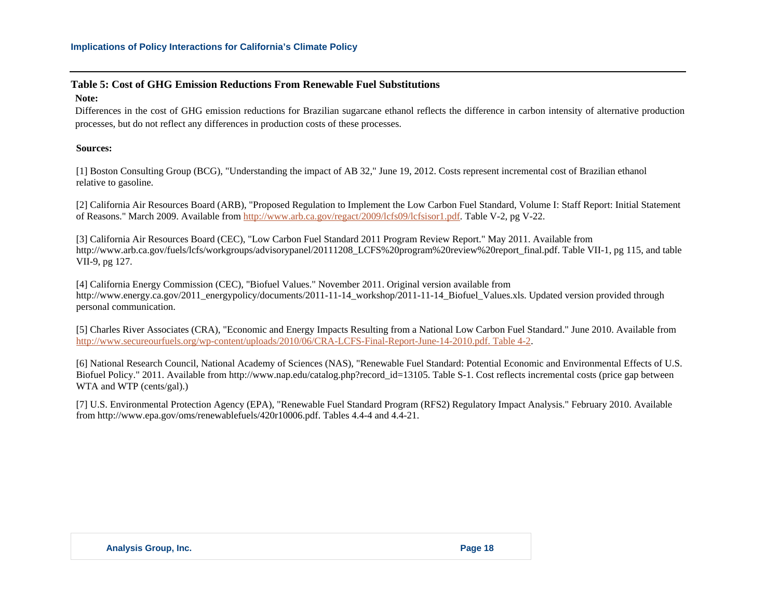## **Table 5: Cost of GHG Emission Reductions From Renewable Fuel Substitutions**

#### **Note:**

Differences in the cost of GHG emission reductions for Brazilian sugarcane ethanol reflects the difference in carbon intensity of alternative production processes, but do not reflect any differences in production costs of these processes.

## **Sources:**

[1] Boston Consulting Group (BCG), "Understanding the impact of AB 32," June 19, 2012. Costs represent incremental cost of Brazilian ethanol relative to gasoline.

[2] California Air Resources Board (ARB), "Proposed Regulation to Implement the Low Carbon Fuel Standard, Volume I: Staff Report: Initial Statement of Reasons." March 2009. Available from http://www.arb.ca.gov/regact/2009/lcfs09/lcfsisor1.pdf. Table V-2, pg V-22.

[3] California Air Resources Board (CEC), "Low Carbon Fuel Standard 2011 Program Review Report." May 2011. Available from http://www.arb.ca.gov/fuels/lcfs/workgroups/advisorypanel/20111208 LCFS%20program%20review%20report\_final.pdf. Table VII-1, pg 115, and table VII-9, pg 127.

[4] California Energy Commission (CEC), "Biofuel Values." November 2011. Original version available from http://www.energy.ca.gov/2011\_energypolicy/documents/2011-11-14\_workshop/2011-11-14\_Biofuel\_Values.xls. Updated version provided through personal communication.

[5] Charles River Associates (CRA), "Economic and Energy Impacts Resulting from a National Low Carbon Fuel Standard." June 2010. Available from http://www.secureourfuels.org/wp-content/uploads/2010/06/CRA-LCFS-Final-Report-June-14-2010.pdf. Table 4-2.

[6] National Research Council, National Academy of Sciences (NAS), "Renewable Fuel Standard: Potential Economic and Environmental Effects of U.S. Biofuel Policy." 2011. Available from http://www.nap.edu/catalog.php?record\_id=13105. Table S-1. Cost reflects incremental costs (price gap between WTA and WTP (cents/gal).)

[7] U.S. Environmental Protection Agency (EPA), "Renewable Fuel Standard Program (RFS2) Regulatory Impact Analysis." February 2010. Available from http://www.epa.gov/oms/renewablefuels/420r10006.pdf. Tables 4.4-4 and 4.4-21.